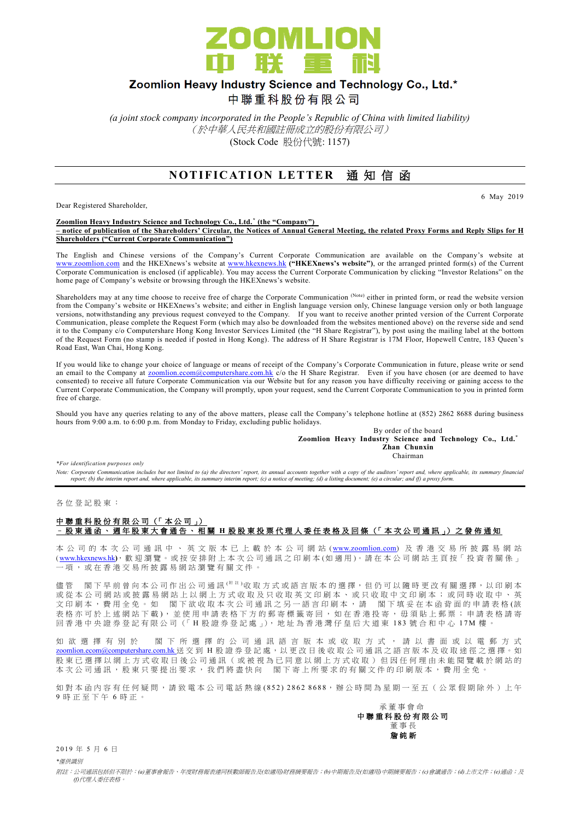

# Zoomlion Heavy Industry Science and Technology Co., Ltd.\*

中聯重科股份有限公司

*(a joint stock company incorporated in the People's Republic of China with limited liability)* (於中華人民共和國註冊成立的股份有限公司) (Stock Code 股份代號: 1157)

### **NOTIFICATION LETTER 通知信函**

Dear Registered Shareholder,

6 May 2019

#### **Zoomlion Heavy Industry Science and Technology Co., Ltd. \* (the "Company") – notice of publication of the Shareholders' Circular, the Notices of Annual General Meeting, the related Proxy Forms and Reply Slips for H Shareholders ("Current Corporate Communication")**

The English and Chinese versions of the Company's Current Corporate Communication are available on the Company's website at [www.zoomlion.com](http://www.zoomlion.com/) and the HKEXnews's website at [www.hkexnews.hk](http://www.hkexnews.hk/) **("HKEXnews's website")**, or the arranged printed form(s) of the Current Corporate Communication is enclosed (if applicable). You may access the Current Corporate Communication by clicking "Investor Relations" on the home page of Company's website or browsing through the HKEXnews's website.

Shareholders may at any time choose to receive free of charge the Corporate Communication (Note) either in printed form, or read the website version from the Company's website or HKEXnews's website; and either in English language version only, Chinese language version only or both language versions, notwithstanding any previous request conveyed to the Company. If you want to receive another printed version of the Current Corporate Communication, please complete the Request Form (which may also be downloaded from the websites mentioned above) on the reverse side and send it to the Company c/o Computershare Hong Kong Investor Services Limited (the "H Share Registrar"), by post using the mailing label at the bottom of the Request Form (no stamp is needed if posted in Hong Kong). The address of H Share Registrar is 17M Floor, Hopewell Centre, 183 Queen's Road East, Wan Chai, Hong Kong.

If you would like to change your choice of language or means of receipt of the Company's Corporate Communication in future, please write or send an email to the Company at [zoomlion.ecom@computershare.com.hk](file://///oceania/hongkong/Data/G13GROUP/Project/Zoomlion/eComm/eComm%202013%20Annual/zoomlion.ecom@computershare.com.hk) c/o the H Share Registrar. Even if you have chosen (or are deemed to have consented) to receive all future Corporate Communication via our Website but for any reason you have difficulty receiving or gaining access to the Current Corporate Communication, the Company will promptly, upon your request, send the Current Corporate Communication to you in printed form free of charge.

Should you have any queries relating to any of the above matters, please call the Company's telephone hotline at (852) 2862 8688 during business hours from 9:00 a.m. to 6:00 p.m. from Monday to Friday, excluding public holidays.

By order of the board **Zoomlion Heavy Industry Science and Technology Co., Ltd.\* Zhan Chunxin** Chairman

*\*For identification purposes only* 

*Note: Corporate Communication includes but not limited to (a) the directors' report, its annual accounts together with a copy of the auditors' report and, where applicable, its summary financial report; (b) the interim report and, where applicable, its summary interim report; (c) a notice of meeting; (d) a listing document; (e) a circular; and (f) a proxy form.*

各 位 登 記 股 東 :

### 中聯重科股份有限公司 (「本公司」) – 股東通函、週年股東大會通告、相關 **H** 股 股 東 投 票 代 理 人 委 任 表 格 及 回 條 (「 本 次 公司通訊 」) 之 發 佈 通 知

本 公 司 的 本 次 公 司 通 訊 中 、 英 文 版 本 已 上 載 於 本 公 司 網 站 ([www.zoomlion.com](http://www.zoomlion.com/)) 及 香 港 交 易 所 披 露 易 網 站 ( [www.hkexnews.hk](http://www.hkexnews.hk/)**)**, 歡 迎 瀏 覽 。或 按 安 排 附 上 本 次 公 司 通 訊 之印刷本 (如適用 )。 請 在 本 公 司 網 站 主 頁 按「 投 資 者 關 係 」 一項, 或 在 香 港 交 易 所 披 露 易 網 站 瀏 覽 有 關 文 件 。

儒管 閣下 早 前 曾 向 本 公 司 作 出 公 司 通 訊 <sup>( 附 註 )</sup>收 取 方 式 或 語 言 版 本 的 選 擇, 但 仍 可 以 隨 時 更 改 有 關 選 擇, 以 印 刷 本 或從本公司網站或披露易網站上以網上方式收取及只收取英文印刷本、或只收取中文印刷本;或同時收取中、英 文印刷本,費用全免。如 閣下欲收取本次公司通訊之另一語言印刷本,請 閣下填妥在本函背面的申請表格(該 表格亦可於上述網站下載), 並使用申請表格下方的郵寄標籤寄回, 如在香港投寄, 毋須貼上郵票; 申請表格請寄 回香港中央證券登記有限公司(「H股證券登記處」), 地址為香港灣仔皇后大道東 183號合和中心 17M 樓

如 欲 選 擇 有 別 於 閣 下 所 選 擇 的 公 司 通 訊 語 言 版 本 或 收 取 方 式 , 請 以 書 面 或 以 電 郵 方 式 [zoomlion.ecom@computershare.com.hk](mailto:zoomlion.ecom@computershare.com.hk) 送 交 到 H 股 證 券 登 記 處, 以 更 改 日 後 收 取 公 司 通 訊 之 語 言 版 本 及 收 取 途 徑 之 選 擇 。 如 股 東 已 選 擇 以 網 上 方 式 收 取 日 後 公 司 通 訊 ( 或 被 視 為 已 同 意 以 網 上 方 式 收 取 ) 但 因 任 何 理 由 未 能 閲 覽 載 於 網 站 的 本次公司通訊,股東只要提出要求,我們將盡快向 閣下寄上所要求的有關文件的印刷版本,費用全免。

如對本函內容有任何疑問,請致電本公司電話熱線(852) 2862 8688,辦公時間為星期一至五 (公眾假期除外)上午 9 時正至下午 6 時 正 。

承董事會命 中 聯 重 科 股 份 有 限 公 司 董事長 詹 純 新

2 0 1 9 年 5 月 6 日

*\**僅供識別

附註:公司通訊包括但不限於:*(a)*董事會報告、年度財務報表連同核數師報告及*(*如適用*)*財務摘要報告;*(b)*中期報告及*(*如適用*)*中期摘要報告;*(c)*會議通告;*(d)*上市文件;*(e)*通函;及 *(f)*代理人委任表格。